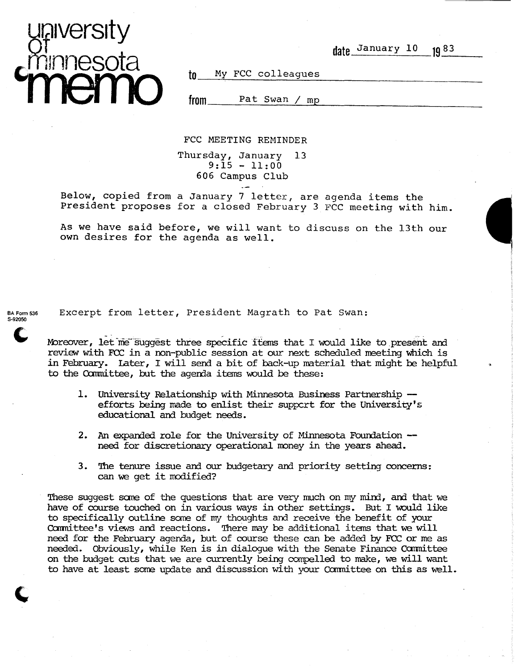

date January 10 1083

--~--------~-----------------------

to My FCC colleagues

**from** Pat Swan *1* mp

FCC MEETING REMINDER

Thursday, January 13  $9:15 - 11:00$ 606 Campus Club

Below, copied from a January 7 letter, are agenda items the President proposes for a closed February 3 FCC meeting with him.

As we have said before, we will want to discuss on the 13th our own desires for the agenda as well.

BA Form 536 S-92050  $\mathbf{C}$  Excerpt from letter, President Magrath to Pat Swan:

Moreover, let me suggest three specific items that I would like to present and review with FCC in a non-public session at our next scheduled meeting which is in February. Later, I will send a bit of back-up material that might be helpful to the Committee, but the agenda items would be these:

- 1. University Relationship with Minnesota Business Partnership efforts being made to enlist their support for the University's educational and budget needs.
- 2. An expanded role for the University of Minnesota Foundation -need for discretionary operational money in the years ahead.
- 3. 'Ihe tenure issue and our budgetary and priority setting concerns: can we get it modified?

These suggest some of the questions that are very much on my mind, and that we have of course touched on in various ways in other settings. But I would like to specifically outline sane of my thoughts and receive the benefit of your Committee's views and reactions. There may be additional items that we will need for the February agenda, but of course these can be added by FCC or me as needed. Obviously, while Ken is in dialoque with the Senate Finance Committee on the budget cuts that we are currently being compelled to make, we will want to have at least some update and discussion with your Committee on this as well.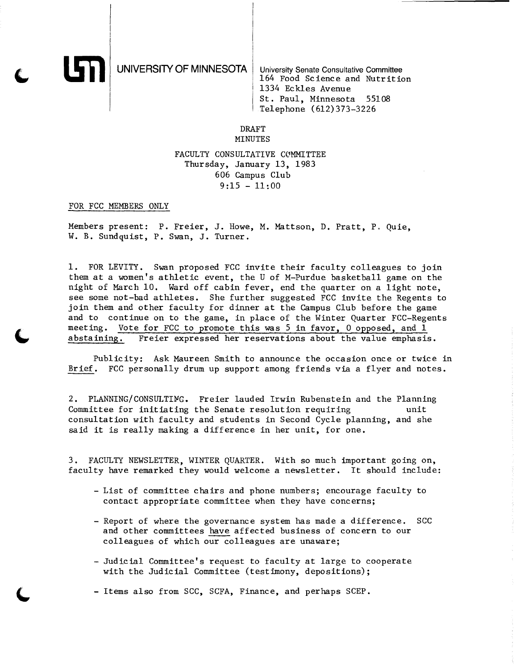UNIVERSITY OF MINNESOTA University Senate Consultative Committee

164 Food Science and Nutrition 1334 Eckles Avenue St. Paul, Minnesota 55108 Telephone (612)373-3226

### DRAFT MINUTES

# FACULTY CONSULTATIVE COMMITTEE Thursday, January 13, 1983 606 Campus Club  $9:15 - 11:00$

## FOR FCC MEMBERS ONLY

Members present: P. Freier, J. Howe, M. Mattson, D. Pratt, P. Quie, W. B. Sundquist, P. Swan, J. Turner.

1. FOR LEVITY. Swan proposed FCC invite their faculty colleagues to join them at a women's athletic event, the U of M-Purdue basketball game on the night of March 10. Ward off cabin fever, end the quarter on a light note, see some not-bad athletes. She further suggested FCC invite the Regents to join them and other faculty for dinner at the Campus Club before the game and to continue on to the game, in place of the Winter Quarter FCC-Regents meeting. Vote for FCC to promote this was 5 in favor, 0 opposed, and 1 abstaining. Freier expressed her reservations about the value emphasis Freier expressed her reservations about the value emphasis.

Publicity: Ask Maureen Smith to announce the occasion once or twice in Brief. FCC personally drum up support among friends via a flyer and notes.

2. PLANNING/CONSULTING. Freier lauded Irwin Rubenstein and the Planning Committee for initiating the Senate resolution requiring unit consultation with faculty and students in Second Cycle planning, and she said it is really making a difference in her unit, for one.

3. FACULTY NEWSLETTER, WINTER QUARTER. With so much important going on, faculty have remarked they would welcome a newsletter. It should include:

- List of committee chairs and phone numbers; encourage faculty to contact appropriate committee when they have concerns;
- Report of where the governance system has made a difference. SCC and other committees have affected business of concern to our colleagues of which our colleagues are unaware;
- Judicial Committee's request to faculty at large to cooperate with the Judicial Committee (testimony, depositions);
- Items also from SCC, SCFA, Finance, and perhaps SCEP.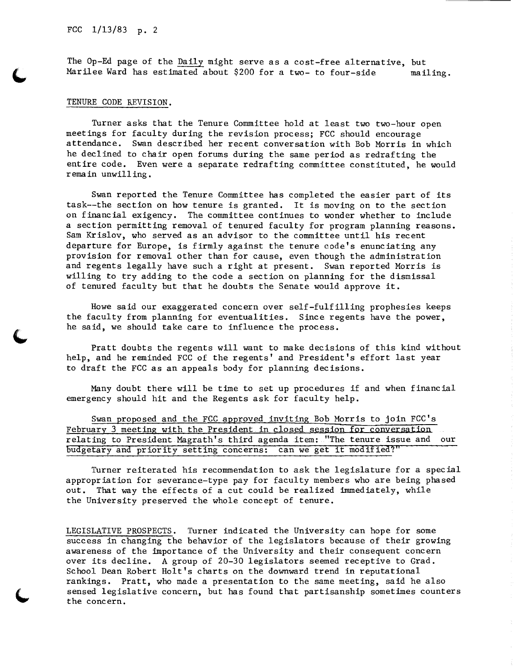# FCC 1/13/83 p. 2

The Op-Ed page of the Daily might serve as a cost-free alternative, but Marilee Ward has estimated about  $$200$  for a two- to four-side mailing.

### TENURE CODE REVISION.

Turner asks that the Tenure Committee hold at least two two-hour open meetings for faculty during the revision process; FCC should encourage attendance. Swan described her recent conversation with Bob Morris in which he declined to chair open forums during the same period as redrafting the entire code. Even were a separate redrafting committee constituted, he would remain unwilling.

Swan reported the Tenure Committee has completed the easier part of its task--the section on how tenure is granted. It is moving on to the section on financial exigency. The committee continues to wonder whether to include a section permitting removal of tenured faculty for program planning reasons. Sam Krislov, who served as an advisor to the committee until his recent departure for Europe, is firmly against the tenure code's enunciating any provision for removal other than for cause, even though the administration and regents legally have such a right at present. Swan reported Morris is willing to try adding to the code a section on planning for the dismissal of tenured faculty but that he doubts the Senate would approve it.

Howe said our exaggerated concern over self-fulfilling prophesies keeps the faculty from planning for eventualities. Since regents have the power, he said, we should take care to influence the process.

Pratt doubts the regents will want to make decisions of this kind without help, and he reminded FCC of the regents' and President's effort last year to draft the FCC as an appeals body for planning decisions.

Many doubt there will be time to set up procedures if and when financial emergency should hit and the Regents ask for faculty help.

Swan proposed and the FCC approved inviting Bob Morris to join FCC's February 3 meeting with the President in closed session for conversation relating to President Magrath's third agenda item: "The tenure issue and our budgetary and priority setting concerns: can we get it modified?"

Turner reiterated his recommendation to ask the legislature for a special appropriation for severance-type pay for faculty members who are being phased out. That way the effects of a cut could be realized immediately, while the University preserved the whole concept of tenure.

LEGISLATIVE PROSPECTS. Turner indicated the University can hope for some success in changing the behavior of the legislators because of their growing awareness of the importance of the University and their consequent concern over its decline. A group of 20-30 legislators seemed receptive to Grad. School Dean Robert Holt's charts on the downward trend in reputational rankings. Pratt, who made a presentation to the same meeting, said he also sensed legislative concern, but has found that partisanship sometimes counters the concern.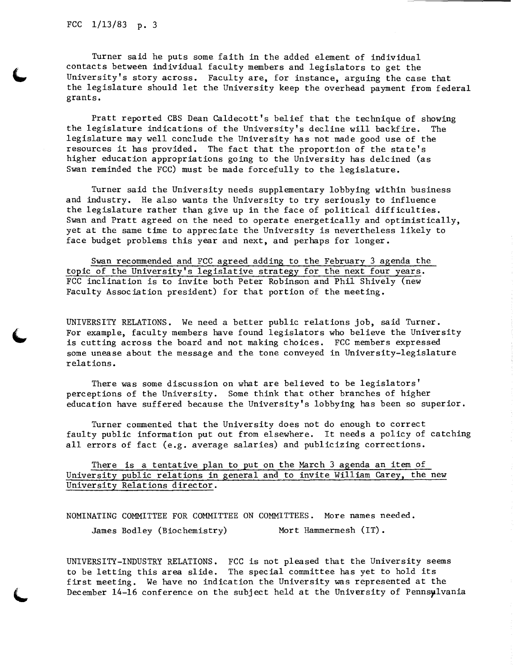Turner said he puts some faith in the added element of individual contacts between individual faculty members and legislators to get the University's story across. Faculty are, for instance, arguing the case that the legislature should let the University keep the overhead payment from federal grants.

Pratt reported CBS Dean Caldecott's belief that the technique of showing the legislature indications of the University's decline will backfire. The legislature may well conclude the University has not made good use of the resources it has provided. The fact that the proportion of the state's higher education appropriations going to the University has delcined (as Swan reminded the FCC) must be made forcefully to the legislature.

Turner said the University needs supplementary lobbying within business and industry. He also wants the University to try seriously to influence the legislature rather than give up in the face of political difficulties. Swan and Pratt agreed on the need to operate energetically and optimistically, yet at the same time to appreciate the University is nevertheless likely to face budget problems this year and next, and perhaps for longer.

Swan recommended and FCC agreed adding to the February 3 agenda the topic of the University's legislative strategy for the next four years. FCC inclination is to invite both Peter Robinson and Phil Shively (new Faculty Association president) for that portion of the meeting.

UNIVERSITY RELATIONS. We need a better public relations job, said Turner. For example, faculty members have found legislators who believe the University is cutting across the board and not making choices. FCC members expressed some unease about the message and the tone conveyed in University-legislature relations.

There was some discussion on what are believed to be legislators' perceptions of the University. Some think that other branches of higher education have suffered because the University's lobbying has been so superior.

Turner commented that the University does not do enough to correct faulty public information put out from elsewhere. It needs a policy of catching all errors of fact (e.g. average salaries) and publicizing corrections.

There is a tentative plan to put on the March 3 agenda an item of University public relations in general and to invite William Carey, the new University Relations director.

NOMINATING COMMITTEE FOR COMMITTEE ON COMMITTEES. More names needed. James Bodley (Biochemistry) Mort Hammermesh (IT).

UNIVERSITY-INDUSTRY RELATIONS. FCC is not pleased that the University seems to be letting this area slide. The special committee has yet to hold its first meeting. We have no indication the University was represented at the December 14-16 conference on the subject held at the University of Pennsylvania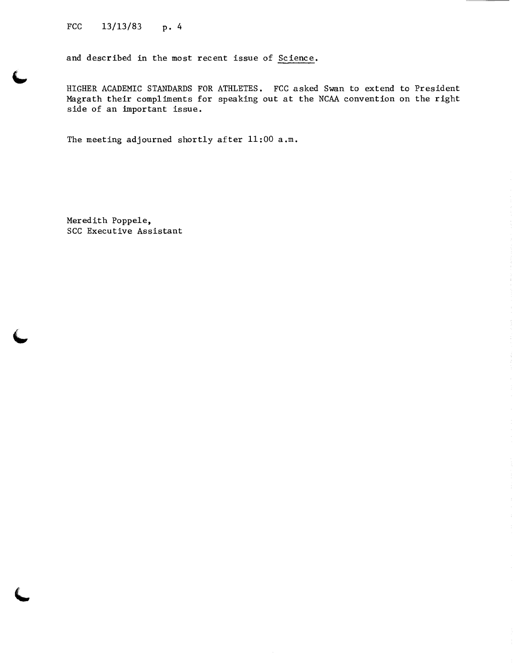FCC  $13/13/83$  p. 4

and described in the most recent issue of Science.

HIGHER ACADEMIC STANDARDS FOR ATHLETES. FCC asked Swan to extend to President Magrath their compliments for speaking out at the NCAA convention on the right side of an important issue.

The meeting adjourned shortly after 11:00 a.m.

Meredith Poppele, SCC Executive Assistant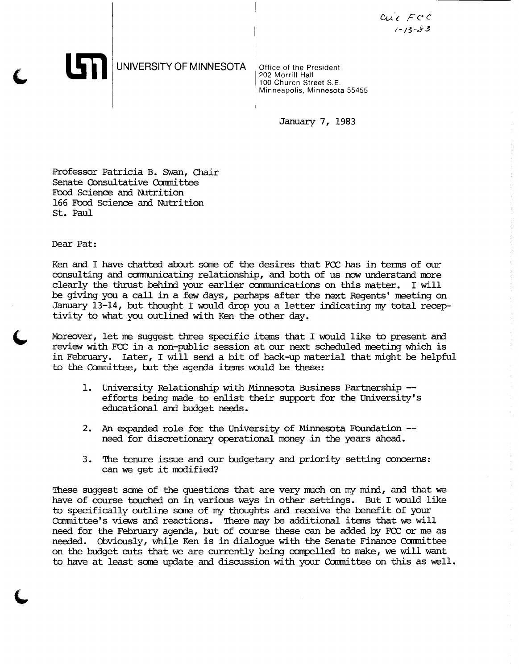$c_{\mathcal{U}\mathcal{U}}$   $\in$   $\mathcal{F}$   $\mathcal{C}$   $\mathcal{C}$ 1-13-J-3

UNIVERSITY OF MINNESOTA

Office of the President 202 Morrill Hall 100 Church Street S.E. Minneapolis, Minnesota 55455

January 7, 1983

Professor Patricia B. Swan, Chair Senate Consultative Committee Food Science and Nutrition 166 Food Science and Nutrition St. Paul

Dear Pat:

Ken and I have chatted about some of the desires that FCC has in terms of our consulting and communicating relationship, and both of us now understand more clearly the thrust behind your earlier carmunications on this matter. I will be giving you a call in a few days, perhaps after the next Regents' meeting on January  $13-14$ , but thought I would drop you a letter indicating my total receptivity to what you outlined with Ken the other day.

Moreover, let me suggest three specific items that I would like to present and review with FCC in a non-public session at our next scheduled meeting which is in February. Later, I will send a bit of back-up material that might be helpful to the Committee, but the agenda items would be these:

- 1. University Relationship with Minnesota Business Partnership efforts being made to enlist their support for the University's educational and budget needs.
- 2. An expanded role for the University of Minnesota Foundation -need for discretionary operational money in the years ahead.
- 3. The tenure issue and our budgetary and priority setting concerns: can we get it modified?

These suggest some of the questions that are very much on my mind, and that we have of course touched on in various ways in other settings. But I would like to specifically outline sane of my thoughts and receive the benefit of your Committee's views and reactions. There may be additional items that we will need for the February agenda, but of course these can be added by FCC or me as needed. Obviously, while Ken is in dialogue with the Senate Finance Ccmnittee on the budget cuts that we are currently being compelled to make, we will want to have at least some update and discussion with your Committee on this as well.